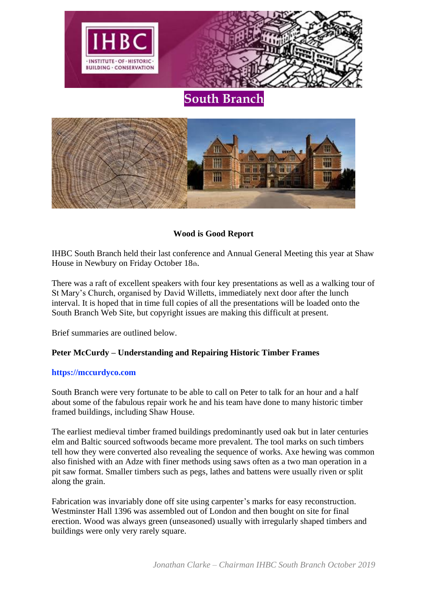



## **Wood is Good Report**

IHBC South Branch held their last conference and Annual General Meeting this year at Shaw House in Newbury on Friday October 18th.

There was a raft of excellent speakers with four key presentations as well as a walking tour of St Mary's Church, organised by David Willetts, immediately next door after the lunch interval. It is hoped that in time full copies of all the presentations will be loaded onto the South Branch Web Site, but copyright issues are making this difficult at present.

Brief summaries are outlined below.

## **Peter McCurdy – Understanding and Repairing Historic Timber Frames**

## **https://mccurdyco.com**

South Branch were very fortunate to be able to call on Peter to talk for an hour and a half about some of the fabulous repair work he and his team have done to many historic timber framed buildings, including Shaw House.

The earliest medieval timber framed buildings predominantly used oak but in later centuries elm and Baltic sourced softwoods became more prevalent. The tool marks on such timbers tell how they were converted also revealing the sequence of works. Axe hewing was common also finished with an Adze with finer methods using saws often as a two man operation in a pit saw format. Smaller timbers such as pegs, lathes and battens were usually riven or split along the grain.

Fabrication was invariably done off site using carpenter's marks for easy reconstruction. Westminster Hall 1396 was assembled out of London and then bought on site for final erection. Wood was always green (unseasoned) usually with irregularly shaped timbers and buildings were only very rarely square.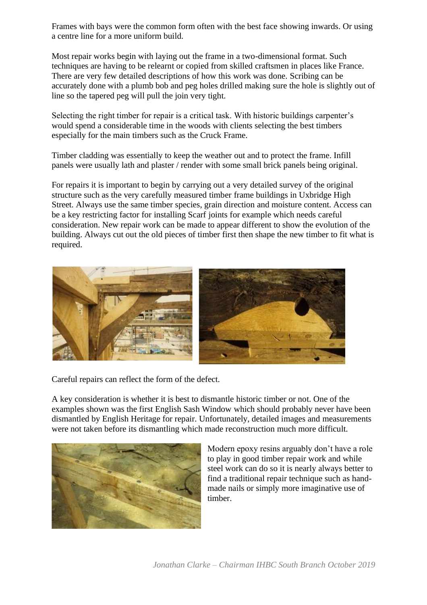Frames with bays were the common form often with the best face showing inwards. Or using a centre line for a more uniform build.

Most repair works begin with laying out the frame in a two-dimensional format. Such techniques are having to be relearnt or copied from skilled craftsmen in places like France. There are very few detailed descriptions of how this work was done. Scribing can be accurately done with a plumb bob and peg holes drilled making sure the hole is slightly out of line so the tapered peg will pull the join very tight.

Selecting the right timber for repair is a critical task. With historic buildings carpenter's would spend a considerable time in the woods with clients selecting the best timbers especially for the main timbers such as the Cruck Frame.

Timber cladding was essentially to keep the weather out and to protect the frame. Infill panels were usually lath and plaster / render with some small brick panels being original.

For repairs it is important to begin by carrying out a very detailed survey of the original structure such as the very carefully measured timber frame buildings in Uxbridge High Street. Always use the same timber species, grain direction and moisture content. Access can be a key restricting factor for installing Scarf joints for example which needs careful consideration. New repair work can be made to appear different to show the evolution of the building. Always cut out the old pieces of timber first then shape the new timber to fit what is required.



Careful repairs can reflect the form of the defect.

A key consideration is whether it is best to dismantle historic timber or not. One of the examples shown was the first English Sash Window which should probably never have been dismantled by English Heritage for repair. Unfortunately, detailed images and measurements were not taken before its dismantling which made reconstruction much more difficult.



Modern epoxy resins arguably don't have a role to play in good timber repair work and while steel work can do so it is nearly always better to find a traditional repair technique such as handmade nails or simply more imaginative use of timber.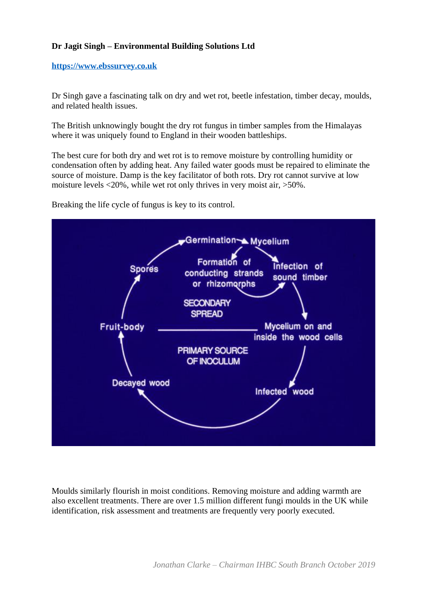# **Dr Jagit Singh – Environmental Building Solutions Ltd**

#### **[https://www.ebssurvey.co.uk](https://www.ebssurvey.co.uk/)**

Dr Singh gave a fascinating talk on dry and wet rot, beetle infestation, timber decay, moulds, and related health issues.

The British unknowingly bought the dry rot fungus in timber samples from the Himalayas where it was uniquely found to England in their wooden battleships.

The best cure for both dry and wet rot is to remove moisture by controlling humidity or condensation often by adding heat. Any failed water goods must be repaired to eliminate the source of moisture. Damp is the key facilitator of both rots. Dry rot cannot survive at low moisture levels <20%, while wet rot only thrives in very moist air, >50%.

Breaking the life cycle of fungus is key to its control.



Moulds similarly flourish in moist conditions. Removing moisture and adding warmth are also excellent treatments. There are over 1.5 million different fungi moulds in the UK while identification, risk assessment and treatments are frequently very poorly executed.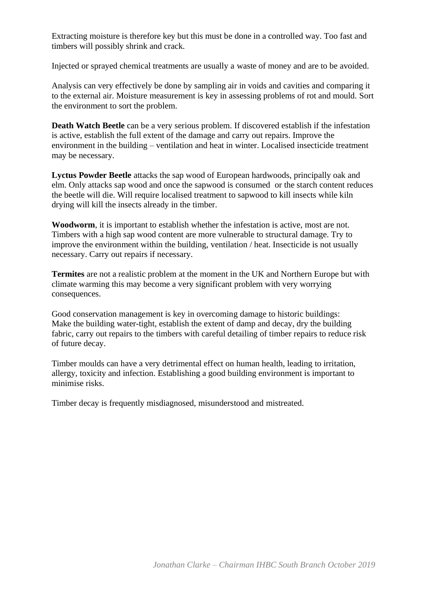Extracting moisture is therefore key but this must be done in a controlled way. Too fast and timbers will possibly shrink and crack.

Injected or sprayed chemical treatments are usually a waste of money and are to be avoided.

Analysis can very effectively be done by sampling air in voids and cavities and comparing it to the external air. Moisture measurement is key in assessing problems of rot and mould. Sort the environment to sort the problem.

**Death Watch Beetle** can be a very serious problem. If discovered establish if the infestation is active, establish the full extent of the damage and carry out repairs. Improve the environment in the building – ventilation and heat in winter. Localised insecticide treatment may be necessary.

**Lyctus Powder Beetle** attacks the sap wood of European hardwoods, principally oak and elm. Only attacks sap wood and once the sapwood is consumed or the starch content reduces the beetle will die. Will require localised treatment to sapwood to kill insects while kiln drying will kill the insects already in the timber.

**Woodworm**, it is important to establish whether the infestation is active, most are not. Timbers with a high sap wood content are more vulnerable to structural damage. Try to improve the environment within the building, ventilation / heat. Insecticide is not usually necessary. Carry out repairs if necessary.

**Termites** are not a realistic problem at the moment in the UK and Northern Europe but with climate warming this may become a very significant problem with very worrying consequences.

Good conservation management is key in overcoming damage to historic buildings: Make the building water-tight, establish the extent of damp and decay, dry the building fabric, carry out repairs to the timbers with careful detailing of timber repairs to reduce risk of future decay.

Timber moulds can have a very detrimental effect on human health, leading to irritation, allergy, toxicity and infection. Establishing a good building environment is important to minimise risks.

Timber decay is frequently misdiagnosed, misunderstood and mistreated.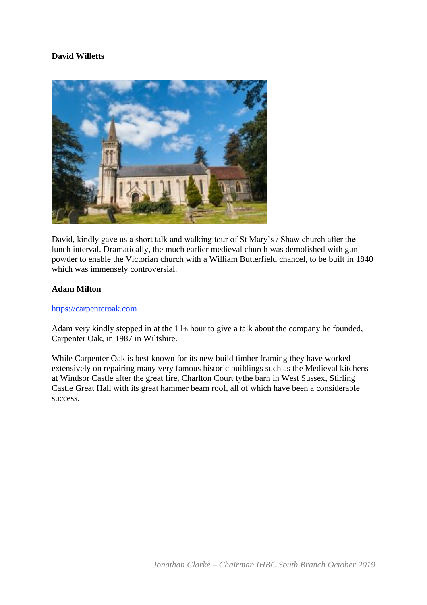# **David Willetts**



David, kindly gave us a short talk and walking tour of St Mary's / Shaw church after the lunch interval. Dramatically, the much earlier medieval church was demolished with gun powder to enable the Victorian church with a William Butterfield chancel, to be built in 1840 which was immensely controversial.

## **Adam Milton**

## https://carpenteroak.com

Adam very kindly stepped in at the  $11<sub>th</sub>$  hour to give a talk about the company he founded, Carpenter Oak, in 1987 in Wiltshire.

While Carpenter Oak is best known for its new build timber framing they have worked extensively on repairing many very famous historic buildings such as the Medieval kitchens at Windsor Castle after the great fire, Charlton Court tythe barn in West Sussex, Stirling Castle Great Hall with its great hammer beam roof, all of which have been a considerable success.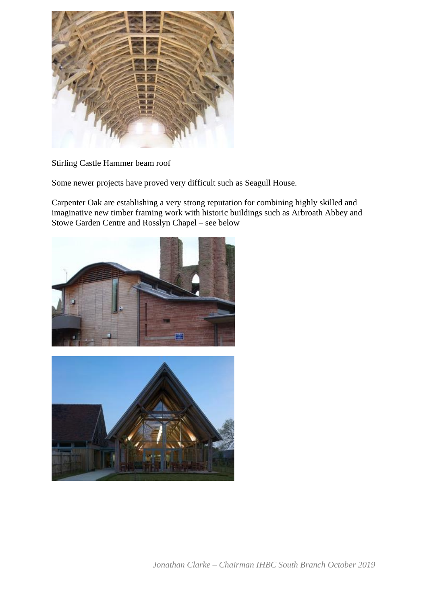

Stirling Castle Hammer beam roof

Some newer projects have proved very difficult such as Seagull House.

Carpenter Oak are establishing a very strong reputation for combining highly skilled and imaginative new timber framing work with historic buildings such as Arbroath Abbey and Stowe Garden Centre and Rosslyn Chapel – see below